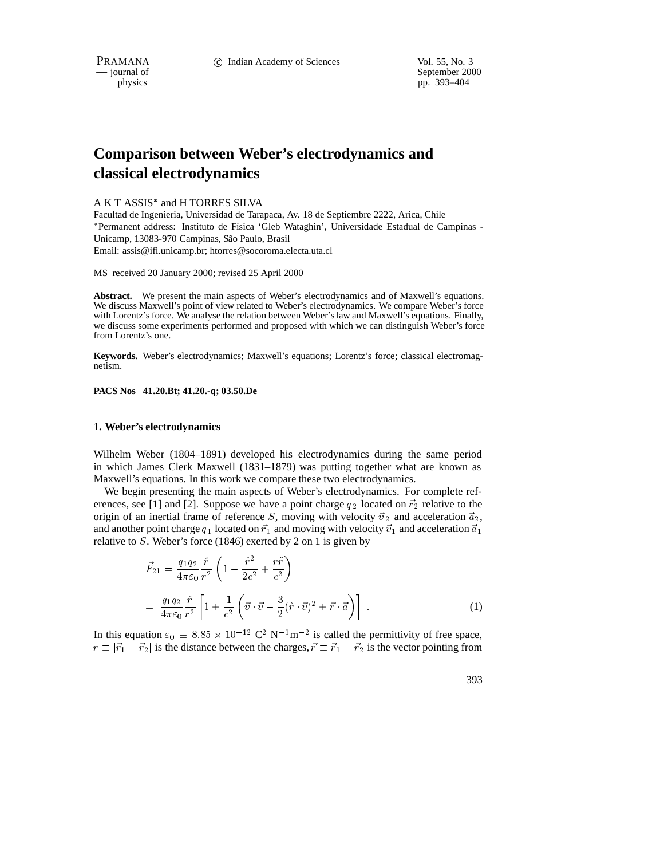physics<br>
a general of September 2000<br>
pp. 393–404<br>
pp. 393–404 pp. 393-404

# **Comparison between Weber's electrodynamics and classical electrodynamics**

### A K T ASSIS<sup>\*</sup> and H TORRES SILVA

Facultad de Ingenieria, Universidad de Tarapaca, Av. 18 de Septiembre 2222, Arica, Chile \*Permanent address: Instituto de Física 'Gleb Wataghin', Universidade Estadual de Campinas -Unicamp, 13083-970 Campinas, São Paulo, Brasil Email: assis@ifi.unicamp.br; htorres@socoroma.electa.uta.cl

MS received 20 January 2000; revised 25 April 2000

Abstract. We present the main aspects of Weber's electrodynamics and of Maxwell's equations. We discuss Maxwell's point of view related to Weber's electrodynamics. We compare Weber's force with Lorentz's force. We analyse the relation between Weber's law and Maxwell's equations. Finally, we discuss some experiments performed and proposed with which we can distinguish Weber's force from Lorentz's one.

**Keywords.** Weber's electrodynamics; Maxwell's equations; Lorentz's force; classical electromagnetism.

#### **PACS Nos 41.20.Bt; 41.20.-q; 03.50.De**

#### **1. Weber's electrodynamics**

Wilhelm Weber (1804–1891) developed his electrodynamics during the same period in which James Clerk Maxwell (1831–1879) was putting together what are known as Maxwell's equations. In this work we compare these two electrodynamics.

We begin presenting the main aspects of Weber's electrodynamics. For complete references, see [1] and [2]. Suppose we have a point charge  $q_2$  located on  $\vec{r}_2$  relative to the origin of an inertial frame of reference S, moving with velocity  $\vec{v}_2$  and acceleration  $\vec{a}_2$ , and another point charge  $q_1$  located on  $\vec{r}_1$  and moving with velocity  $\vec{v}_1$  and acceleration  $\vec{a}_1$ relative to <sup>S</sup>. Weber's force (1846) exerted by 2 on 1 is given by

$$
\vec{F}_{21} = \frac{q_1 q_2}{4\pi\varepsilon_0} \frac{\hat{r}}{r^2} \left( 1 - \frac{\dot{r}^2}{2c^2} + \frac{r\ddot{r}}{c^2} \right)
$$
\n
$$
= \frac{q_1 q_2}{4\pi\varepsilon_0} \frac{\hat{r}}{r^2} \left[ 1 + \frac{1}{c^2} \left( \vec{v} \cdot \vec{v} - \frac{3}{2} (\hat{r} \cdot \vec{v})^2 + \vec{r} \cdot \vec{a} \right) \right] . \tag{1}
$$

In this equation  $\varepsilon_0 \equiv 8.85 \times 10^{-12} \text{ C}^2 \text{ N}^{-1} \text{m}^{-2}$  is called the permittivity of free space,  $r \equiv |\vec{r}_1 - \vec{r}_2|$  is the distance between the charges,  $\vec{r} \equiv \vec{r}_1 - \vec{r}_2$  is the vector pointing from

393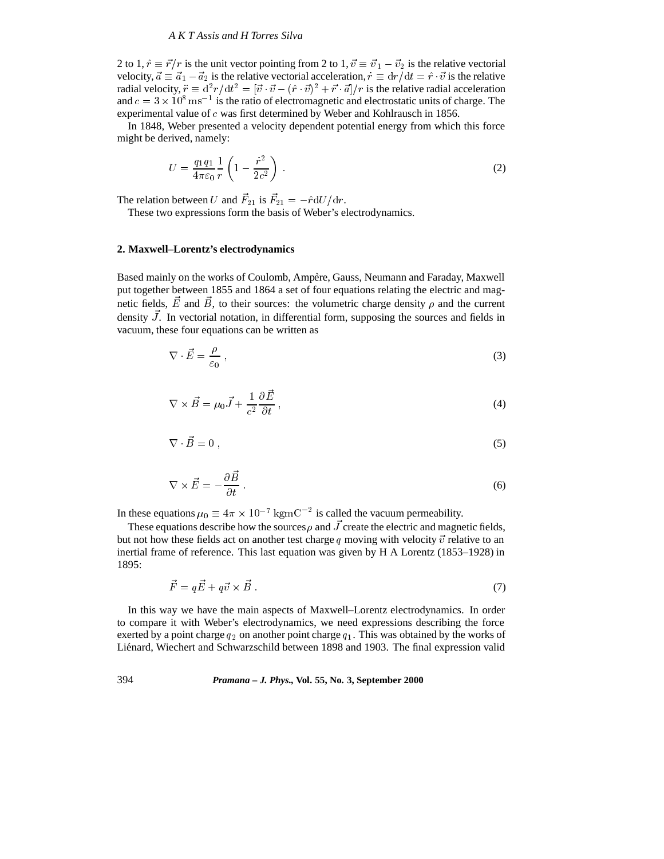2 to 1,  $\hat{r} \equiv \vec{r}/r$  is the unit vector pointing from 2 to 1,  $\vec{v} \equiv \vec{v}_1 - \vec{v}_2$  is the relative vectorial velocity,  $\vec{a} \equiv \vec{a}_1 - \vec{a}_2$  is the relative vectorial acceleration,  $\vec{r} \equiv dr/dt = \hat{r} \cdot \vec{v}$  is the relative radial velocity,  $\vec{r} \equiv d^2r/dt^2 = [\vec{v} \cdot \vec{v} - (\hat{r} \cdot \vec{v})^2 + \vec{r} \cdot \vec{a}]/r$  is the relative radial acceleration and  $c = 3 \times 10^8 \,\mathrm{ms}^{-1}$  is the ratio of electromagnetic and electrostatic units of charge. The experimental value of <sup>c</sup> was first determined by Weber and Kohlrausch in 1856.

In 1848, Weber presented a velocity dependent potential energy from which this force might be derived, namely:

$$
U = \frac{q_1 q_1}{4\pi\varepsilon_0} \frac{1}{r} \left( 1 - \frac{\dot{r}^2}{2c^2} \right) \,. \tag{2}
$$

The relation between U and  $F_{21}$  is  $F_{21} = -\hat{r} dU/dr$ .

These two expressions form the basis of Weber's electrodynamics.

## **2. Maxwell–Lorentz's electrodynamics**

Based mainly on the works of Coulomb, Ampère, Gauss, Neumann and Faraday, Maxwell put together between 1855 and 1864 a set of four equations relating the electric and magnetic fields, E and B, to their sources: the volumetric charge density  $\rho$  and the current density J. In vectorial notation, in differential form, supposing the sources and fields in vacuum, these four equations can be written as

$$
\nabla \cdot \vec{E} = \frac{\rho}{\varepsilon_0} \,, \tag{3}
$$

$$
\nabla \times \vec{B} = \mu_0 \vec{J} + \frac{1}{c^2} \frac{\partial \vec{E}}{\partial t},
$$
\n(4)

$$
\nabla \cdot \vec{B} = 0 \,,\tag{5}
$$

$$
\nabla \times \vec{E} = -\frac{\partial \vec{B}}{\partial t} \,. \tag{6}
$$

In these equations  $\mu_0 \equiv 4\pi \times 10^{-7} \text{ kgm}^{-2}$  is called the vacuum permeability.

These equations describe how the sources  $\rho$  and  $J$  create the electric and magnetic fields, but not how these fields act on another test charge q moving with velocity  $\vec{v}$  relative to an inertial frame of reference. This last equation was given by H A Lorentz (1853–1928) in 1895:

$$
\vec{F} = q\vec{E} + q\vec{v} \times \vec{B} \tag{7}
$$

In this way we have the main aspects of Maxwell–Lorentz electrodynamics. In order to compare it with Weber's electrodynamics, we need expressions describing the force exerted by a point charge  $q_2$  on another point charge  $q_1$ . This was obtained by the works of Liénard, Wiechert and Schwarzschild between 1898 and 1903. The final expression valid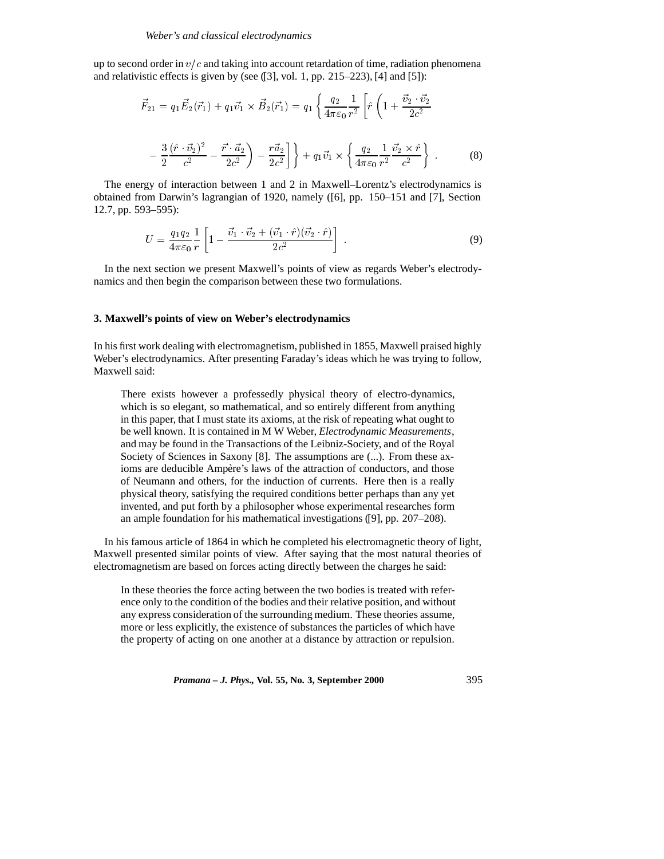up to second order in  $v/c$  and taking into account retardation of time, radiation phenomena and relativistic effects is given by (see ([3], vol. 1, pp. 215–223), [4] and [5]):

$$
\vec{F}_{21} = q_1 \vec{E}_2(\vec{r}_1) + q_1 \vec{v}_1 \times \vec{B}_2(\vec{r}_1) = q_1 \left\{ \frac{q_2}{4\pi\varepsilon_0} \frac{1}{r^2} \left[ \hat{r} \left( 1 + \frac{\vec{v}_2 \cdot \vec{v}_2}{2c^2} \right) - \frac{3}{2} \frac{(\hat{r} \cdot \vec{v}_2)^2}{c^2} - \frac{\vec{r} \cdot \vec{a}_2}{2c^2} \right] \right\} + q_1 \vec{v}_1 \times \left\{ \frac{q_2}{4\pi\varepsilon_0} \frac{1}{r^2} \frac{\vec{v}_2 \times \hat{r}}{c^2} \right\}.
$$
 (8)

The energy of interaction between 1 and 2 in Maxwell–Lorentz's electrodynamics is obtained from Darwin's lagrangian of 1920, namely ([6], pp. 150–151 and [7], Section 12.7, pp. 593–595):

$$
U = \frac{q_1 q_2}{4\pi\varepsilon_0} \frac{1}{r} \left[ 1 - \frac{\vec{v}_1 \cdot \vec{v}_2 + (\vec{v}_1 \cdot \hat{r})(\vec{v}_2 \cdot \hat{r})}{2c^2} \right] \tag{9}
$$

In the next section we present Maxwell's points of view as regards Weber's electrodynamics and then begin the comparison between these two formulations.

## **3. Maxwell's points of view on Weber's electrodynamics**

In his first work dealing with electromagnetism, published in 1855, Maxwell praised highly Weber's electrodynamics. After presenting Faraday's ideas which he was trying to follow, Maxwell said:

There exists however a professedly physical theory of electro-dynamics, which is so elegant, so mathematical, and so entirely different from anything in this paper, that I must state its axioms, at the risk of repeating what ought to be well known. It is contained in M W Weber, *Electrodynamic Measurements*, and may be found in the Transactions of the Leibniz-Society, and of the Royal Society of Sciences in Saxony [8]. The assumptions are (...). From these axioms are deducible Ampère's laws of the attraction of conductors, and those of Neumann and others, for the induction of currents. Here then is a really physical theory, satisfying the required conditions better perhaps than any yet invented, and put forth by a philosopher whose experimental researches form an ample foundation for his mathematical investigations ([9], pp. 207–208).

In his famous article of 1864 in which he completed his electromagnetic theory of light, Maxwell presented similar points of view. After saying that the most natural theories of electromagnetism are based on forces acting directly between the charges he said:

In these theories the force acting between the two bodies is treated with reference only to the condition of the bodies and their relative position, and without any express consideration of the surrounding medium. These theories assume, more or less explicitly, the existence of substances the particles of which have the property of acting on one another at a distance by attraction or repulsion.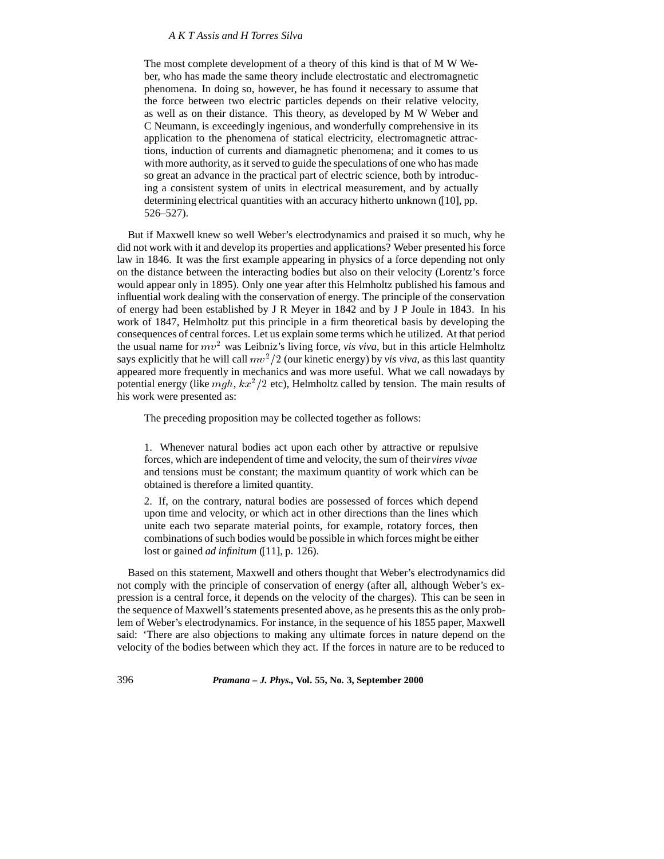The most complete development of a theory of this kind is that of M W Weber, who has made the same theory include electrostatic and electromagnetic phenomena. In doing so, however, he has found it necessary to assume that the force between two electric particles depends on their relative velocity, as well as on their distance. This theory, as developed by M W Weber and C Neumann, is exceedingly ingenious, and wonderfully comprehensive in its application to the phenomena of statical electricity, electromagnetic attractions, induction of currents and diamagnetic phenomena; and it comes to us with more authority, as it served to guide the speculations of one who has made so great an advance in the practical part of electric science, both by introducing a consistent system of units in electrical measurement, and by actually determining electrical quantities with an accuracy hitherto unknown ([10], pp. 526–527).

But if Maxwell knew so well Weber's electrodynamics and praised it so much, why he did not work with it and develop its properties and applications? Weber presented his force law in 1846. It was the first example appearing in physics of a force depending not only on the distance between the interacting bodies but also on their velocity (Lorentz's force would appear only in 1895). Only one year after this Helmholtz published his famous and influential work dealing with the conservation of energy. The principle of the conservation of energy had been established by J R Meyer in 1842 and by J P Joule in 1843. In his work of 1847, Helmholtz put this principle in a firm theoretical basis by developing the consequences of central forces. Let us explain some terms which he utilized. At that period the usual name for  $mv^2$  was Leibniz's living force, *vis viva*, but in this article Helmholtz says explicitly that he will call  $mv^2/2$  (our kinetic energy) by *vis viva*, as this last quantity appeared more frequently in mechanics and was more useful. What we call nowadays by potential energy (like  $mgh, kx^2/2$  etc), Helmholtz called by tension. The main results of his work were presented as:

The preceding proposition may be collected together as follows:

1. Whenever natural bodies act upon each other by attractive or repulsive forces, which are independent of time and velocity, the sum of their*vires vivae* and tensions must be constant; the maximum quantity of work which can be obtained is therefore a limited quantity.

2. If, on the contrary, natural bodies are possessed of forces which depend upon time and velocity, or which act in other directions than the lines which unite each two separate material points, for example, rotatory forces, then combinations of such bodies would be possible in which forces might be either lost or gained *ad infinitum* ([11], p. 126).

Based on this statement, Maxwell and others thought that Weber's electrodynamics did not comply with the principle of conservation of energy (after all, although Weber's expression is a central force, it depends on the velocity of the charges). This can be seen in the sequence of Maxwell's statements presented above, as he presents this as the only problem of Weber's electrodynamics. For instance, in the sequence of his 1855 paper, Maxwell said: 'There are also objections to making any ultimate forces in nature depend on the velocity of the bodies between which they act. If the forces in nature are to be reduced to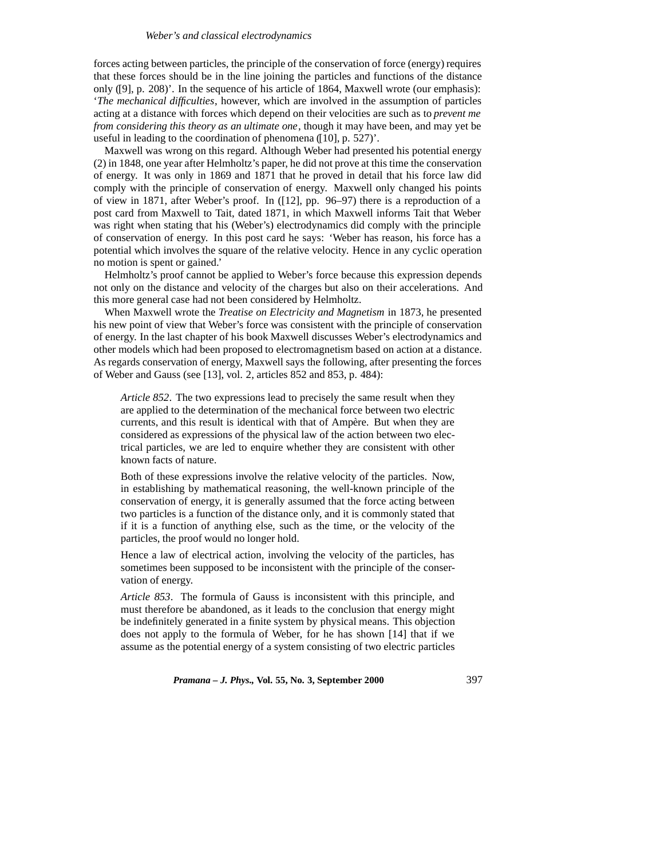#### *Weber's and classical electrodynamics*

forces acting between particles, the principle of the conservation of force (energy) requires that these forces should be in the line joining the particles and functions of the distance only ([9], p. 208)'. In the sequence of his article of 1864, Maxwell wrote (our emphasis): '*The mechanical difficulties*, however, which are involved in the assumption of particles acting at a distance with forces which depend on their velocities are such as to *prevent me from considering this theory as an ultimate one*, though it may have been, and may yet be useful in leading to the coordination of phenomena ([10], p. 527)'.

Maxwell was wrong on this regard. Although Weber had presented his potential energy (2) in 1848, one year after Helmholtz's paper, he did not prove at this time the conservation of energy. It was only in 1869 and 1871 that he proved in detail that his force law did comply with the principle of conservation of energy. Maxwell only changed his points of view in 1871, after Weber's proof. In ([12], pp. 96–97) there is a reproduction of a post card from Maxwell to Tait, dated 1871, in which Maxwell informs Tait that Weber was right when stating that his (Weber's) electrodynamics did comply with the principle of conservation of energy. In this post card he says: 'Weber has reason, his force has a potential which involves the square of the relative velocity. Hence in any cyclic operation no motion is spent or gained.'

Helmholtz's proof cannot be applied to Weber's force because this expression depends not only on the distance and velocity of the charges but also on their accelerations. And this more general case had not been considered by Helmholtz.

When Maxwell wrote the *Treatise on Electricity and Magnetism* in 1873, he presented his new point of view that Weber's force was consistent with the principle of conservation of energy. In the last chapter of his book Maxwell discusses Weber's electrodynamics and other models which had been proposed to electromagnetism based on action at a distance. As regards conservation of energy, Maxwell says the following, after presenting the forces of Weber and Gauss (see [13], vol. 2, articles 852 and 853, p. 484):

*Article 852*. The two expressions lead to precisely the same result when they are applied to the determination of the mechanical force between two electric currents, and this result is identical with that of Ampère. But when they are considered as expressions of the physical law of the action between two electrical particles, we are led to enquire whether they are consistent with other known facts of nature.

Both of these expressions involve the relative velocity of the particles. Now, in establishing by mathematical reasoning, the well-known principle of the conservation of energy, it is generally assumed that the force acting between two particles is a function of the distance only, and it is commonly stated that if it is a function of anything else, such as the time, or the velocity of the particles, the proof would no longer hold.

Hence a law of electrical action, involving the velocity of the particles, has sometimes been supposed to be inconsistent with the principle of the conservation of energy.

*Article 853*. The formula of Gauss is inconsistent with this principle, and must therefore be abandoned, as it leads to the conclusion that energy might be indefinitely generated in a finite system by physical means. This objection does not apply to the formula of Weber, for he has shown [14] that if we assume as the potential energy of a system consisting of two electric particles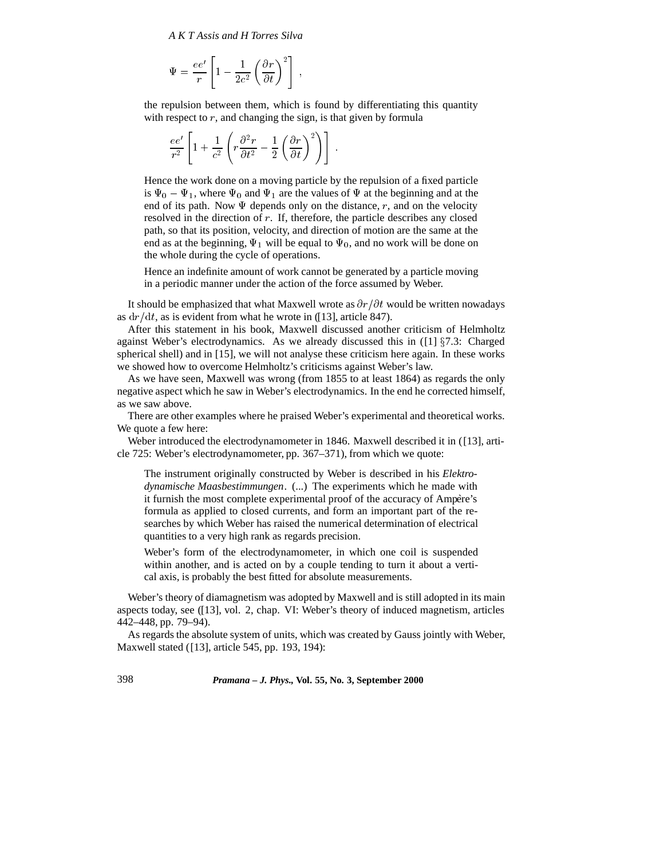$$
\Psi = \frac{ee'}{r} \left[ 1 - \frac{1}{2c^2} \left( \frac{\partial r}{\partial t} \right)^2 \right] \;,
$$

the repulsion between them, which is found by differentiating this quantity with respect to  $r$ , and changing the sign, is that given by formula

$$
\frac{ee'}{r^2}\left[1+\frac{1}{c^2}\left(r\frac{\partial^2 r}{\partial t^2}-\frac{1}{2}\left(\frac{\partial r}{\partial t}\right)^2\right)\right].
$$

Hence the work done on a moving particle by the repulsion of a fixed particle is  $\Psi_0 - \Psi_1$ , where  $\Psi_0$  and  $\Psi_1$  are the values of  $\Psi$  at the beginning and at the end of its path. Now  $\Psi$  depends only on the distance, r, and on the velocity resolved in the direction of <sup>r</sup>. If, therefore, the particle describes any closed path, so that its position, velocity, and direction of motion are the same at the end as at the beginning,  $\Psi_1$  will be equal to  $\Psi_0$ , and no work will be done on the whole during the cycle of operations.

Hence an indefinite amount of work cannot be generated by a particle moving in a periodic manner under the action of the force assumed by Weber.

It should be emphasized that what Maxwell wrote as  $\partial r/\partial t$  would be written nowadays as  $dr/dt$ , as is evident from what he wrote in ([13], article 847).

After this statement in his book, Maxwell discussed another criticism of Helmholtz against Weber's electrodynamics. As we already discussed this in  $(11)$   $\S7.3$ : Charged spherical shell) and in [15], we will not analyse these criticism here again. In these works we showed how to overcome Helmholtz's criticisms against Weber's law.

As we have seen, Maxwell was wrong (from 1855 to at least 1864) as regards the only negative aspect which he saw in Weber's electrodynamics. In the end he corrected himself, as we saw above.

There are other examples where he praised Weber's experimental and theoretical works. We quote a few here:

Weber introduced the electrodynamometer in 1846. Maxwell described it in ([13], article 725: Weber's electrodynamometer, pp. 367–371), from which we quote:

The instrument originally constructed by Weber is described in his *Elektrodynamische Maasbestimmungen*. (...) The experiments which he made with it furnish the most complete experimental proof of the accuracy of Ampère's formula as applied to closed currents, and form an important part of the researches by which Weber has raised the numerical determination of electrical quantities to a very high rank as regards precision.

Weber's form of the electrodynamometer, in which one coil is suspended within another, and is acted on by a couple tending to turn it about a vertical axis, is probably the best fitted for absolute measurements.

Weber's theory of diamagnetism was adopted by Maxwell and is still adopted in its main aspects today, see ([13], vol. 2, chap. VI: Weber's theory of induced magnetism, articles 442–448, pp. 79–94).

As regards the absolute system of units, which was created by Gauss jointly with Weber, Maxwell stated ([13], article 545, pp. 193, 194):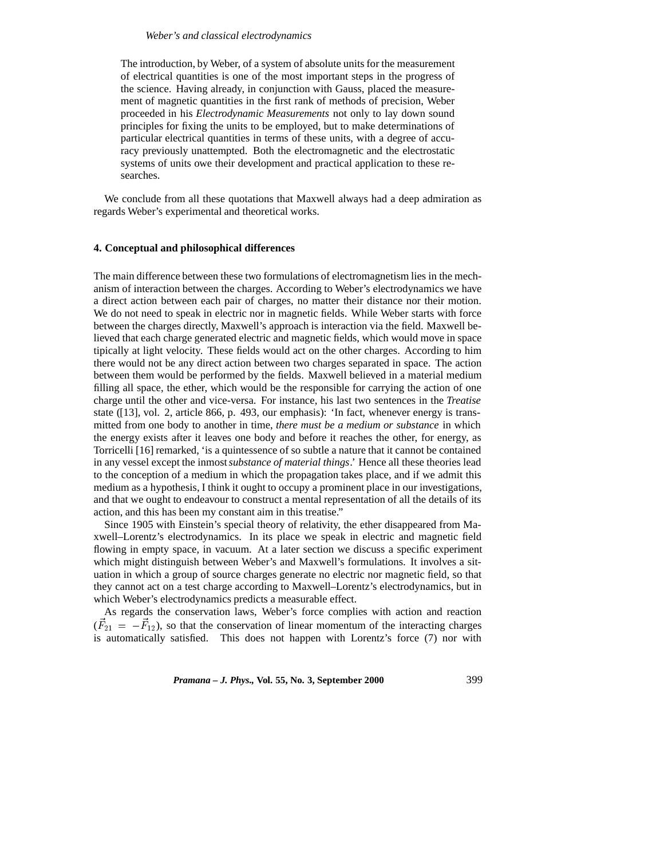#### *Weber's and classical electrodynamics*

The introduction, by Weber, of a system of absolute units for the measurement of electrical quantities is one of the most important steps in the progress of the science. Having already, in conjunction with Gauss, placed the measurement of magnetic quantities in the first rank of methods of precision, Weber proceeded in his *Electrodynamic Measurements* not only to lay down sound principles for fixing the units to be employed, but to make determinations of particular electrical quantities in terms of these units, with a degree of accuracy previously unattempted. Both the electromagnetic and the electrostatic systems of units owe their development and practical application to these researches.

We conclude from all these quotations that Maxwell always had a deep admiration as regards Weber's experimental and theoretical works.

## **4. Conceptual and philosophical differences**

The main difference between these two formulations of electromagnetism lies in the mechanism of interaction between the charges. According to Weber's electrodynamics we have a direct action between each pair of charges, no matter their distance nor their motion. We do not need to speak in electric nor in magnetic fields. While Weber starts with force between the charges directly, Maxwell's approach is interaction via the field. Maxwell believed that each charge generated electric and magnetic fields, which would move in space tipically at light velocity. These fields would act on the other charges. According to him there would not be any direct action between two charges separated in space. The action between them would be performed by the fields. Maxwell believed in a material medium filling all space, the ether, which would be the responsible for carrying the action of one charge until the other and vice-versa. For instance, his last two sentences in the *Treatise* state ([13], vol. 2, article 866, p. 493, our emphasis): 'In fact, whenever energy is transmitted from one body to another in time, *there must be a medium or substance* in which the energy exists after it leaves one body and before it reaches the other, for energy, as Torricelli [16] remarked, 'is a quintessence of so subtle a nature that it cannot be contained in any vessel except the inmost*substance of material things*.' Hence all these theories lead to the conception of a medium in which the propagation takes place, and if we admit this medium as a hypothesis, I think it ought to occupy a prominent place in our investigations, and that we ought to endeavour to construct a mental representation of all the details of its action, and this has been my constant aim in this treatise."

Since 1905 with Einstein's special theory of relativity, the ether disappeared from Maxwell–Lorentz's electrodynamics. In its place we speak in electric and magnetic field flowing in empty space, in vacuum. At a later section we discuss a specific experiment which might distinguish between Weber's and Maxwell's formulations. It involves a situation in which a group of source charges generate no electric nor magnetic field, so that they cannot act on a test charge according to Maxwell–Lorentz's electrodynamics, but in which Weber's electrodynamics predicts a measurable effect.

As regards the conservation laws, Weber's force complies with action and reaction  $(F_{21} = -F_{12})$ , so that the conservation of linear momentum of the interacting charges is automatically satisfied. This does not happen with Lorentz's force (7) nor with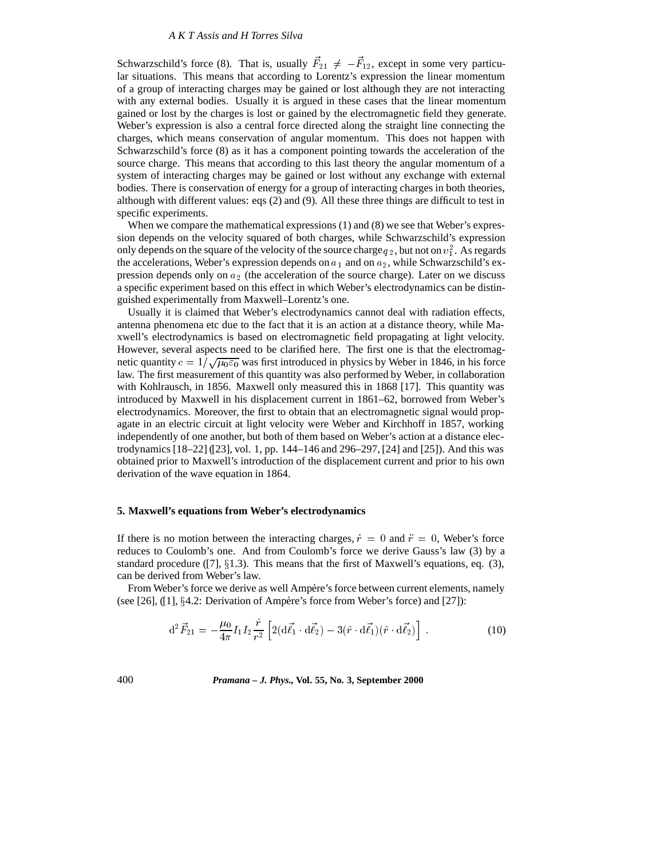Schwarzschild's force (8). That is, usually  $F_{21} \neq -F_{12}$ , except in some very particular situations. This means that according to Lorentz's expression the linear momentum of a group of interacting charges may be gained or lost although they are not interacting with any external bodies. Usually it is argued in these cases that the linear momentum gained or lost by the charges is lost or gained by the electromagnetic field they generate. Weber's expression is also a central force directed along the straight line connecting the charges, which means conservation of angular momentum. This does not happen with Schwarzschild's force (8) as it has a component pointing towards the acceleration of the source charge. This means that according to this last theory the angular momentum of a system of interacting charges may be gained or lost without any exchange with external bodies. There is conservation of energy for a group of interacting charges in both theories, although with different values: eqs (2) and (9). All these three things are difficult to test in specific experiments.

When we compare the mathematical expressions (1) and (8) we see that Weber's expression depends on the velocity squared of both charges, while Schwarzschild's expression only depends on the square of the velocity of the source charge  $q_2$ , but not on  $v_1^2$ . As regards the accelerations, Weber's expression depends on  $a_1$  and on  $a_2$ , while Schwarzschild's expression depends only on  $a_2$  (the acceleration of the source charge). Later on we discuss a specific experiment based on this effect in which Weber's electrodynamics can be distinguished experimentally from Maxwell–Lorentz's one.

Usually it is claimed that Weber's electrodynamics cannot deal with radiation effects, antenna phenomena etc due to the fact that it is an action at a distance theory, while Maxwell's electrodynamics is based on electromagnetic field propagating at light velocity. However, several aspects need to be clarified here. The first one is that the electromagnetic quantity  $c = 1/\sqrt{\mu_0 \varepsilon_0}$  was first introduced in physics by Weber in 1846, in his force law. The first measurement of this quantity was also performed by Weber, in collaboration with Kohlrausch, in 1856. Maxwell only measured this in 1868 [17]. This quantity was introduced by Maxwell in his displacement current in 1861–62, borrowed from Weber's electrodynamics. Moreover, the first to obtain that an electromagnetic signal would propagate in an electric circuit at light velocity were Weber and Kirchhoff in 1857, working independently of one another, but both of them based on Weber's action at a distance electrodynamics [18–22] ([23], vol. 1, pp. 144–146 and 296–297, [24] and [25]). And this was obtained prior to Maxwell's introduction of the displacement current and prior to his own derivation of the wave equation in 1864.

#### **5. Maxwell's equations from Weber's electrodynamics**

If there is no motion between the interacting charges,  $\dot{r} = 0$  and  $\ddot{r} = 0$ , Weber's force reduces to Coulomb's one. And from Coulomb's force we derive Gauss's law (3) by a standard procedure ([7],  $\S1.3$ ). This means that the first of Maxwell's equations, eq. (3), can be derived from Weber's law.

From Weber's force we derive as well Ampère's force between current elements, namely (see [26],  $(11)$ ,  $§4.2$ : Derivation of Ampère's force from Weber's force) and [27]):

$$
\mathrm{d}^{2}\vec{F}_{21} = -\frac{\mu_{0}}{4\pi}I_{1}I_{2}\frac{\hat{r}}{r^{2}}\left[2(\mathrm{d}\vec{\ell}_{1}\cdot\mathrm{d}\vec{\ell}_{2}) - 3(\hat{r}\cdot\mathrm{d}\vec{\ell}_{1})(\hat{r}\cdot\mathrm{d}\vec{\ell}_{2})\right].
$$
 (10)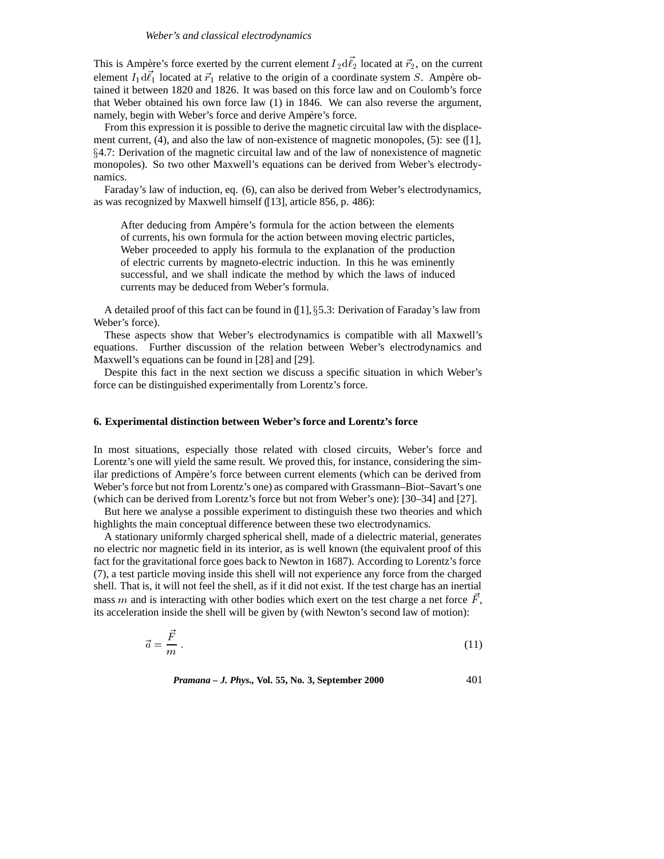This is Ampère's force exerted by the current element  $I_2 d\ell_2$  located at  $\vec{r}_2$ , on the current element  $I_1 d\ell_1$  located at  $\vec{r}_1$  relative to the origin of a coordinate system S. Ampère obtained it between 1820 and 1826. It was based on this force law and on Coulomb's force that Weber obtained his own force law (1) in 1846. We can also reverse the argument, namely, begin with Weber's force and derive Ampère's force.

From this expression it is possible to derive the magnetic circuital law with the displacement current,  $(4)$ , and also the law of non-existence of magnetic monopoles,  $(5)$ : see  $(11)$ ,  $\S4.7$ : Derivation of the magnetic circuital law and of the law of nonexistence of magnetic monopoles). So two other Maxwell's equations can be derived from Weber's electrodynamics.

Faraday's law of induction, eq. (6), can also be derived from Weber's electrodynamics, as was recognized by Maxwell himself ([13], article 856, p. 486):

After deducing from Ampère's formula for the action between the elements of currents, his own formula for the action between moving electric particles, Weber proceeded to apply his formula to the explanation of the production of electric currents by magneto-electric induction. In this he was eminently successful, and we shall indicate the method by which the laws of induced currents may be deduced from Weber's formula.

A detailed proof of this fact can be found in  $(1, \S 5.3:$  Derivation of Faraday's law from Weber's force).

These aspects show that Weber's electrodynamics is compatible with all Maxwell's equations. Further discussion of the relation between Weber's electrodynamics and Maxwell's equations can be found in [28] and [29].

Despite this fact in the next section we discuss a specific situation in which Weber's force can be distinguished experimentally from Lorentz's force.

## **6. Experimental distinction between Weber's force and Lorentz's force**

In most situations, especially those related with closed circuits, Weber's force and Lorentz's one will yield the same result. We proved this, for instance, considering the similar predictions of Ampère's force between current elements (which can be derived from Weber's force but not from Lorentz's one) as compared with Grassmann–Biot–Savart's one (which can be derived from Lorentz's force but not from Weber's one): [30–34] and [27].

But here we analyse a possible experiment to distinguish these two theories and which highlights the main conceptual difference between these two electrodynamics.

A stationary uniformly charged spherical shell, made of a dielectric material, generates no electric nor magnetic field in its interior, as is well known (the equivalent proof of this fact for the gravitational force goes back to Newton in 1687). According to Lorentz's force (7), a test particle moving inside this shell will not experience any force from the charged shell. That is, it will not feel the shell, as if it did not exist. If the test charge has an inertial mass m and is interacting with other bodies which exert on the test charge a net force  $\vec{F}$ , its acceleration inside the shell will be given by (with Newton's second law of motion):

$$
\vec{a} = \frac{\vec{F}}{m} \tag{11}
$$

*Pramana – J. Phys.,* **Vol. 55, No. 3, September 2000** 401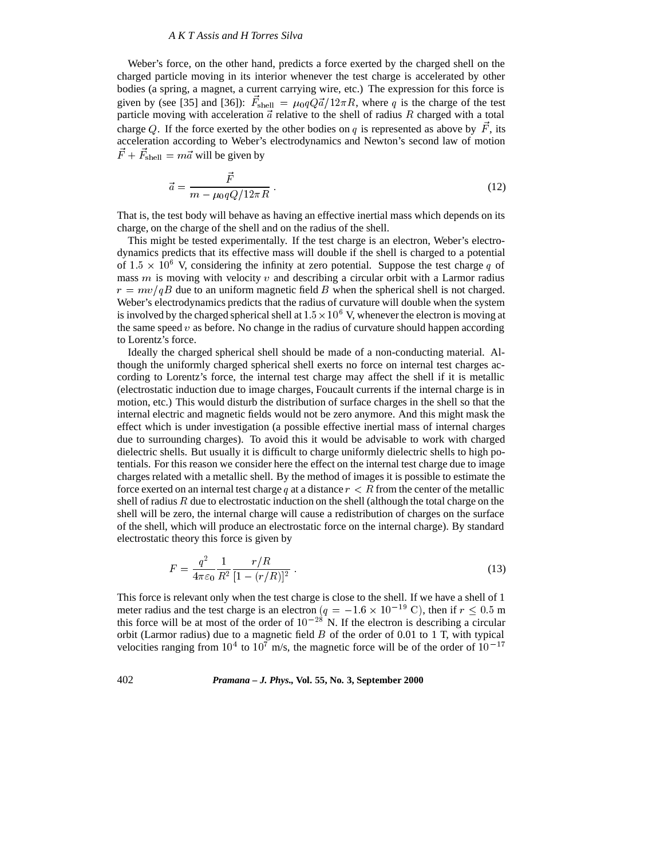Weber's force, on the other hand, predicts a force exerted by the charged shell on the charged particle moving in its interior whenever the test charge is accelerated by other bodies (a spring, a magnet, a current carrying wire, etc.) The expression for this force is given by (see [35] and [36]):  $F_{\text{shell}} = \mu_0 q Q \vec{a} / 12 \pi R$ , where q is the charge of the test particle moving with acceleration  $\vec{a}$  relative to the shell of radius  $R$  charged with a total charge Q. If the force exerted by the other bodies on q is represented as above by  $\vec{F}$ , its acceleration according to Weber's electrodynamics and Newton's second law of motion  $F + F_{shell} = m\vec{a}$  will be given by

$$
\vec{a} = \frac{\vec{F}}{m - \mu_0 q Q / 12\pi R} \tag{12}
$$

That is, the test body will behave as having an effective inertial mass which depends on its charge, on the charge of the shell and on the radius of the shell.

This might be tested experimentally. If the test charge is an electron, Weber's electrodynamics predicts that its effective mass will double if the shell is charged to a potential of  $1.5 \times 10^6$  V, considering the infinity at zero potential. Suppose the test charge q of mass  $m$  is moving with velocity  $v$  and describing a circular orbit with a Larmor radius  $r = mv/qB$  due to an uniform magnetic field B when the spherical shell is not charged. Weber's electrodynamics predicts that the radius of curvature will double when the system is involved by the charged spherical shell at  $1.5 \times 10^6$  V, whenever the electron is moving at the same speed  $v$  as before. No change in the radius of curvature should happen according to Lorentz's force.

Ideally the charged spherical shell should be made of a non-conducting material. Although the uniformly charged spherical shell exerts no force on internal test charges according to Lorentz's force, the internal test charge may affect the shell if it is metallic (electrostatic induction due to image charges, Foucault currents if the internal charge is in motion, etc.) This would disturb the distribution of surface charges in the shell so that the internal electric and magnetic fields would not be zero anymore. And this might mask the effect which is under investigation (a possible effective inertial mass of internal charges due to surrounding charges). To avoid this it would be advisable to work with charged dielectric shells. But usually it is difficult to charge uniformly dielectric shells to high potentials. For this reason we consider here the effect on the internal test charge due to image charges related with a metallic shell. By the method of images it is possible to estimate the force exerted on an internal test charge q at a distance  $r < R$  from the center of the metallic shell of radius  $R$  due to electrostatic induction on the shell (although the total charge on the shell will be zero, the internal charge will cause a redistribution of charges on the surface of the shell, which will produce an electrostatic force on the internal charge). By standard electrostatic theory this force is given by

$$
F = \frac{q^2}{4\pi\varepsilon_0} \frac{1}{R^2} \frac{r/R}{[1 - (r/R)]^2} \,. \tag{13}
$$

This force is relevant only when the test charge is close to the shell. If we have a shell of 1 meter radius and the test charge is an electron  $(q = -1.6 \times 10^{-19} \text{ C})$ , then if  $r \le 0.5 \text{ m}$ this force will be at most of the order of  $10^{-28}$  N. If the electron is describing a circular orbit (Larmor radius) due to a magnetic field  $B$  of the order of 0.01 to 1 T, with typical velocities ranging from  $10^4$  to  $10^7$  m/s, the magnetic force will be of the order of  $10^{-17}$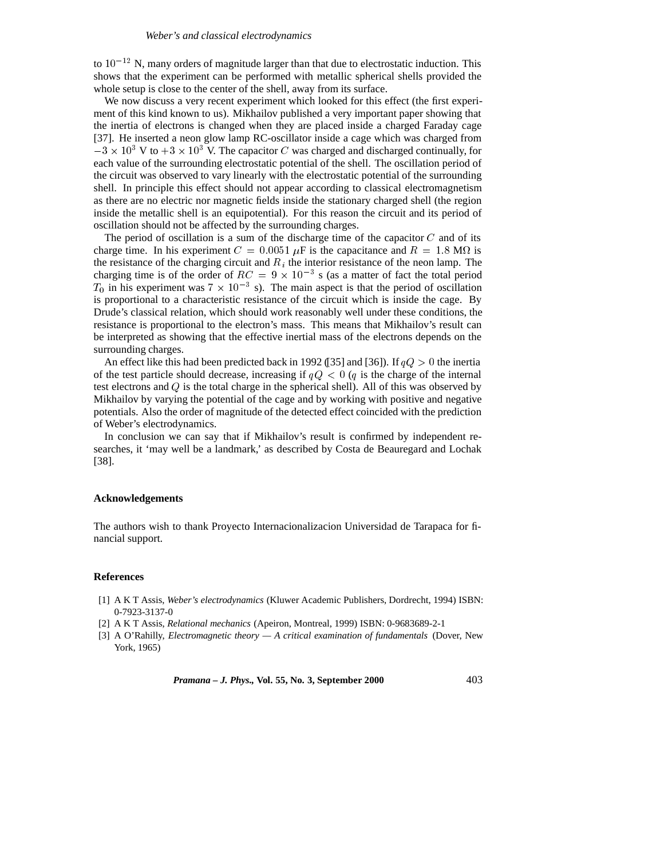to  $10^{-12}$  N, many orders of magnitude larger than that due to electrostatic induction. This shows that the experiment can be performed with metallic spherical shells provided the whole setup is close to the center of the shell, away from its surface.

We now discuss a very recent experiment which looked for this effect (the first experiment of this kind known to us). Mikhailov published a very important paper showing that the inertia of electrons is changed when they are placed inside a charged Faraday cage [37]. He inserted a neon glow lamp RC-oscillator inside a cage which was charged from  $-3 \times 10^3$  V to  $+3 \times 10^3$  V. The capacitor C was charged and discharged continually, for each value of the surrounding electrostatic potential of the shell. The oscillation period of the circuit was observed to vary linearly with the electrostatic potential of the surrounding shell. In principle this effect should not appear according to classical electromagnetism as there are no electric nor magnetic fields inside the stationary charged shell (the region inside the metallic shell is an equipotential). For this reason the circuit and its period of oscillation should not be affected by the surrounding charges.

The period of oscillation is a sum of the discharge time of the capacitor  $C$  and of its charge time. In his experiment  $C = 0.0051 \mu F$  is the capacitance and  $R = 1.8 \text{ M}\Omega$  is the resistance of the charging circuit and  $R_i$  the interior resistance of the neon lamp. The charging time is of the order of  $RC = 9 \times 10^{-3}$  s (as a matter of fact the total period  $T_0$  in his experiment was  $7 \times 10^{-3}$  s). The main aspect is that the period of oscillation is proportional to a characteristic resistance of the circuit which is inside the cage. By Drude's classical relation, which should work reasonably well under these conditions, the resistance is proportional to the electron's mass. This means that Mikhailov's result can be interpreted as showing that the effective inertial mass of the electrons depends on the surrounding charges.

An effect like this had been predicted back in 1992 ([35] and [36]). If  $qQ>0$  the inertia of the test particle should decrease, increasing if  $qQ < 0$  (q is the charge of the internal test electrons and  $Q$  is the total charge in the spherical shell). All of this was observed by Mikhailov by varying the potential of the cage and by working with positive and negative potentials. Also the order of magnitude of the detected effect coincided with the prediction of Weber's electrodynamics.

In conclusion we can say that if Mikhailov's result is confirmed by independent researches, it 'may well be a landmark,' as described by Costa de Beauregard and Lochak [38].

#### **Acknowledgements**

The authors wish to thank Proyecto Internacionalizacion Universidad de Tarapaca for financial support.

#### **References**

- [1] A K T Assis, *Weber's electrodynamics* (Kluwer Academic Publishers, Dordrecht, 1994) ISBN: 0-7923-3137-0
- [2] A K T Assis, *Relational mechanics* (Apeiron, Montreal, 1999) ISBN: 0-9683689-2-1
- [3] A O'Rahilly, *Electromagnetic theory A critical examination of fundamentals* (Dover, New York, 1965)